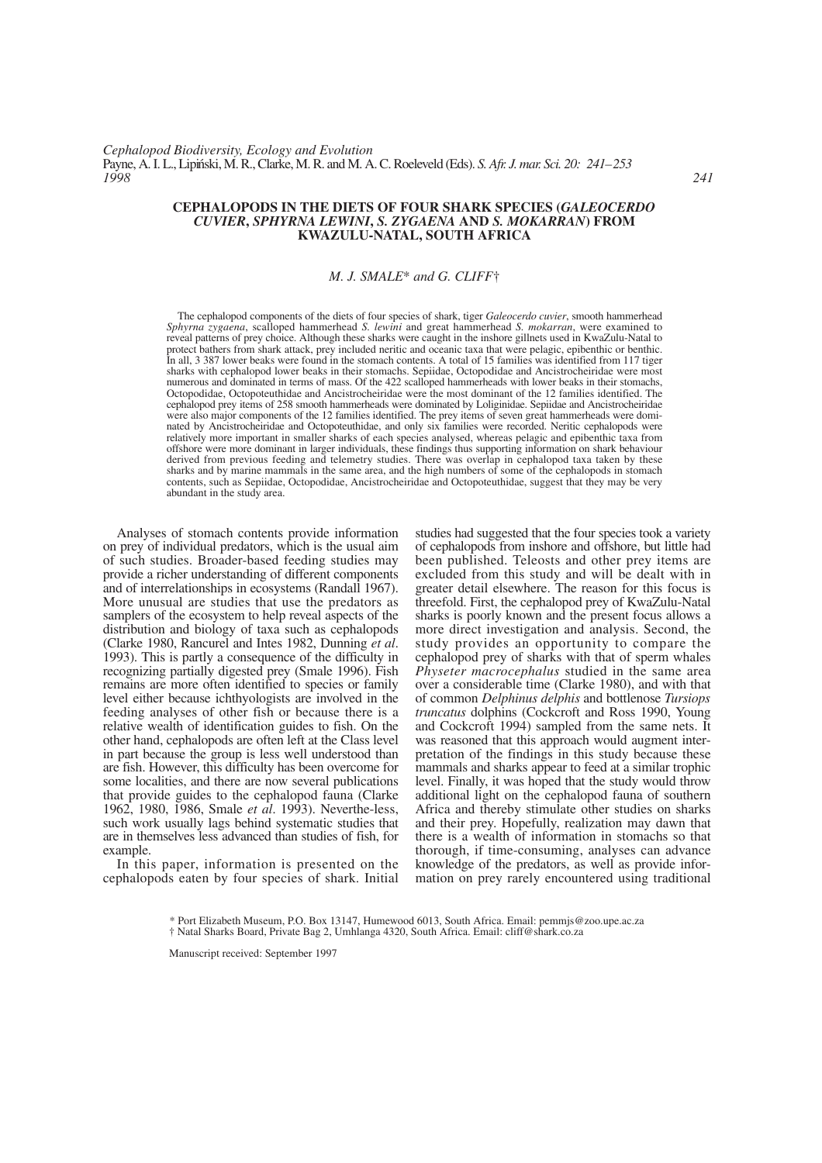# **CEPHALOPODS IN THE DIETS OF FOUR SHARK SPECIES (***GALEOCERDO CUVIER***,** *SPHYRNA LEWINI***,** *S. ZYGAENA* **AND** *S. MOKARRAN***) FROM KWAZULU-NATAL, SOUTH AFRICA**

# *M. J. SMALE*\* *and G. CLIFF*†

The cephalopod components of the diets of four species of shark, tiger *Galeocerdo cuvier*, smooth hammerhead *Sphyrna zygaena*, scalloped hammerhead *S. lewini* and great hammerhead *S. mokarran*, were examined to reveal patterns of prey choice. Although these sharks were caught in the inshore gillnets used in KwaZulu-Natal to protect bathers from shark attack, prey included neritic and oceanic taxa that were pelagic, epibenthic or benthic. In all, 3 387 lower beaks were found in the stomach contents. A total of 15 families was identified from 117 tiger sharks with cephalopod lower beaks in their stomachs. Sepiidae, Octopodidae and Ancistrocheiridae were most numerous and dominated in terms of mass. Of the 422 scalloped hammerheads with lower beaks in their stomachs, Octopodidae, Octopoteuthidae and Ancistrocheiridae were the most dominant of the 12 families identified. The cephalopod prey items of 258 smooth hammerheads were dominated by Loliginidae. Sepiidae and Ancistrocheiridae were also major components of the 12 families identified. The prey items of seven great hammerheads were dominated by Ancistrocheiridae and Octopoteuthidae, and only six families were recorded. Neritic cephalopods were relatively more important in smaller sharks of each species analysed, whereas pelagic and epibenthic taxa from offshore were more dominant in larger individuals, these findings thus supporting information on shark behaviour derived from previous feeding and telemetry studies. There was overlap in cephalopod taxa taken by these sharks and by marine mammals in the same area, and the high numbers of some of the cephalopods in stomach contents, such as Sepiidae, Octopodidae, Ancistrocheiridae and Octopoteuthidae, suggest that they may be very abundant in the study area.

Analyses of stomach contents provide information on prey of individual predators, which is the usual aim of such studies. Broader-based feeding studies may provide a richer understanding of different components and of interrelationships in ecosystems (Randall 1967). More unusual are studies that use the predators as samplers of the ecosystem to help reveal aspects of the distribution and biology of taxa such as cephalopods (Clarke 1980, Rancurel and Intes 1982, Dunning *et al*. 1993). This is partly a consequence of the difficulty in recognizing partially digested prey (Smale 1996). Fish remains are more often identified to species or family level either because ichthyologists are involved in the feeding analyses of other fish or because there is a relative wealth of identification guides to fish. On the other hand, cephalopods are often left at the Class level in part because the group is less well understood than are fish. However, this difficulty has been overcome for some localities, and there are now several publications that provide guides to the cephalopod fauna (Clarke 1962, 1980, 1986, Smale *et al*. 1993). Neverthe-less, such work usually lags behind systematic studies that are in themselves less advanced than studies of fish, for example.

In this paper, information is presented on the cephalopods eaten by four species of shark. Initial

studies had suggested that the four species took a variety of cephalopods from inshore and offshore, but little had been published. Teleosts and other prey items are excluded from this study and will be dealt with in greater detail elsewhere. The reason for this focus is threefold. First, the cephalopod prey of KwaZulu-Natal sharks is poorly known and the present focus allows a more direct investigation and analysis. Second, the study provides an opportunity to compare the cephalopod prey of sharks with that of sperm whales *Physeter macrocephalus* studied in the same area over a considerable time (Clarke 1980), and with that of common *Delphinus delphis* and bottlenose *Tursiops truncatus* dolphins (Cockcroft and Ross 1990, Young and Cockcroft 1994) sampled from the same nets. It was reasoned that this approach would augment interpretation of the findings in this study because these mammals and sharks appear to feed at a similar trophic level. Finally, it was hoped that the study would throw additional light on the cephalopod fauna of southern Africa and thereby stimulate other studies on sharks and their prey. Hopefully, realization may dawn that there is a wealth of information in stomachs so that thorough, if time-consuming, analyses can advance knowledge of the predators, as well as provide information on prey rarely encountered using traditional

\* Port Elizabeth Museum, P.O. Box 13147, Humewood 6013, South Africa. Email: pemmjs@zoo.upe.ac.za

† Natal Sharks Board, Private Bag 2, Umhlanga 4320, South Africa. Email: cliff@shark.co.za

Manuscript received: September 1997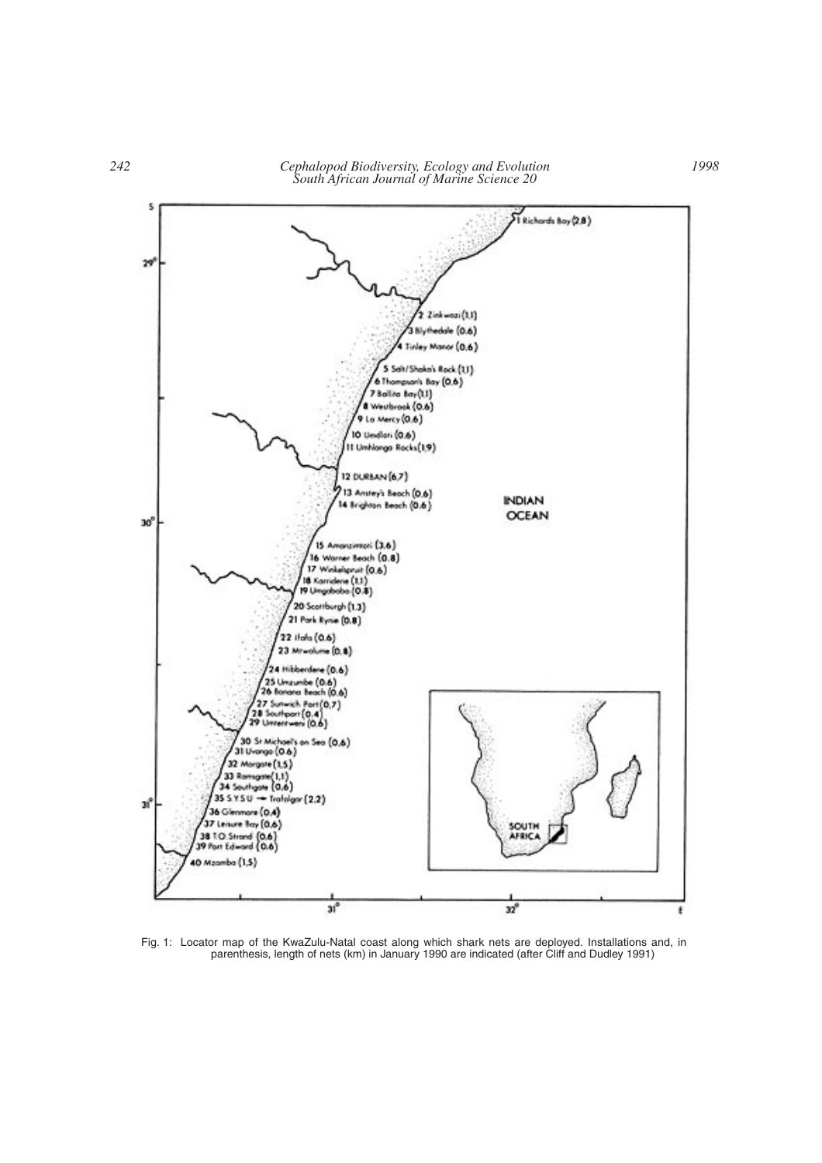

Fig. 1: Locator map of the KwaZulu-Natal coast along which shark nets are deployed. Installations and, in parenthesis, length of nets (km) in January 1990 are indicated (after Cliff and Dudley 1991)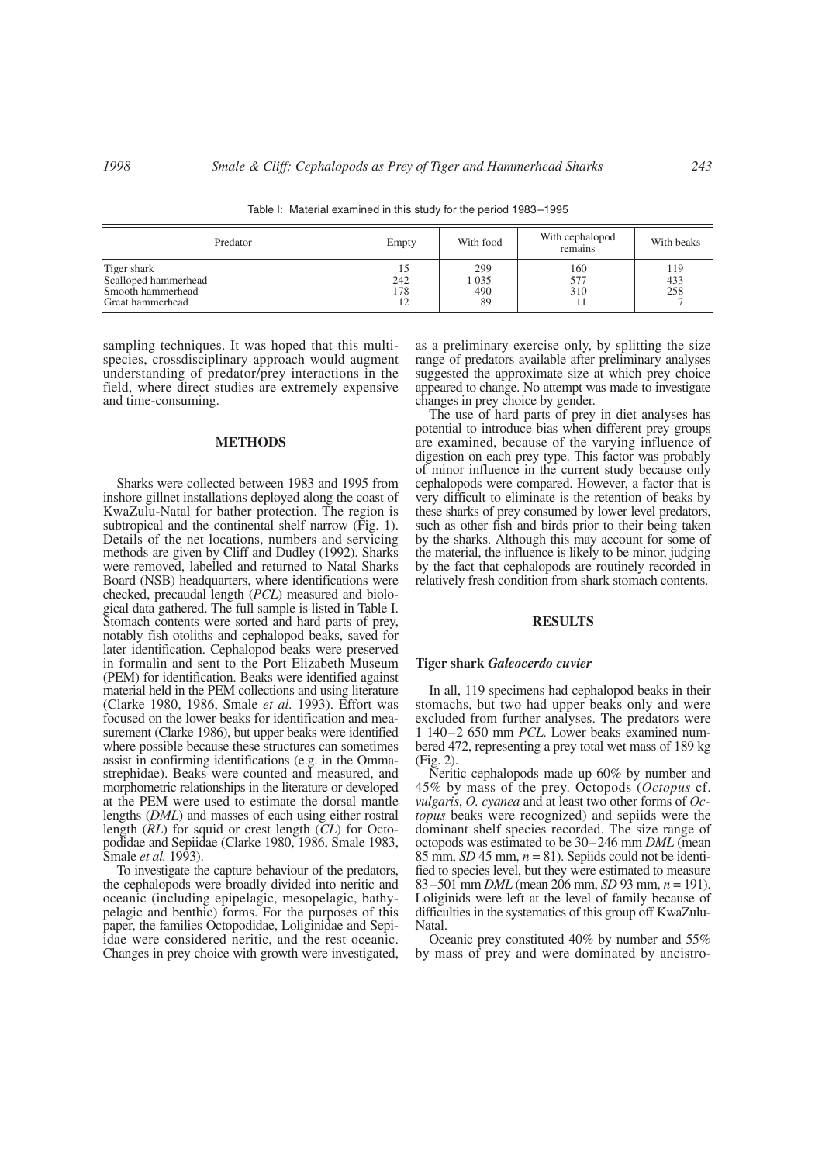Predator Empty With food With cephalopod With beaks Tiger shark 15  $15$  299  $160$  119 Scalloped hammerhead 1035 1 035 577 433<br>Smooth hammerhead 178 490 310 258 Smooth hammerhead 178 490 310 258<br>Great hammerhead 12 30 310 7 Great hammerhead

Table I: Material examined in this study for the period 1983–1995

sampling techniques. It was hoped that this multispecies, crossdisciplinary approach would augment understanding of predator/prey interactions in the field, where direct studies are extremely expensive and time-consuming.

#### **METHODS**

Sharks were collected between 1983 and 1995 from inshore gillnet installations deployed along the coast of KwaZulu-Natal for bather protection. The region is subtropical and the continental shelf narrow (Fig. 1). Details of the net locations, numbers and servicing methods are given by Cliff and Dudley (1992). Sharks were removed, labelled and returned to Natal Sharks Board (NSB) headquarters, where identifications were checked, precaudal length (*PCL*) measured and biological data gathered. The full sample is listed in Table I. Stomach contents were sorted and hard parts of prey, notably fish otoliths and cephalopod beaks, saved for later identification. Cephalopod beaks were preserved in formalin and sent to the Port Elizabeth Museum (PEM) for identification. Beaks were identified against material held in the PEM collections and using literature (Clarke 1980, 1986, Smale *et al.* 1993). Effort was focused on the lower beaks for identification and measurement (Clarke 1986), but upper beaks were identified where possible because these structures can sometimes assist in confirming identifications (e.g. in the Ommastrephidae). Beaks were counted and measured, and morphometric relationships in the literature or developed at the PEM were used to estimate the dorsal mantle lengths (*DML*) and masses of each using either rostral length (*RL*) for squid or crest length (*CL*) for Octopodidae and Sepiidae (Clarke 1980, 1986, Smale 1983, Smale *et al.* 1993).

To investigate the capture behaviour of the predators, the cephalopods were broadly divided into neritic and oceanic (including epipelagic, mesopelagic, bathypelagic and benthic) forms. For the purposes of this paper, the families Octopodidae, Loliginidae and Sepiidae were considered neritic, and the rest oceanic. Changes in prey choice with growth were investigated, as a preliminary exercise only, by splitting the size range of predators available after preliminary analyses suggested the approximate size at which prey choice appeared to change. No attempt was made to investigate changes in prey choice by gender.

The use of hard parts of prey in diet analyses has potential to introduce bias when different prey groups are examined, because of the varying influence of digestion on each prey type. This factor was probably of minor influence in the current study because only cephalopods were compared. However, a factor that is very difficult to eliminate is the retention of beaks by these sharks of prey consumed by lower level predators, such as other fish and birds prior to their being taken by the sharks. Although this may account for some of the material, the influence is likely to be minor, judging by the fact that cephalopods are routinely recorded in relatively fresh condition from shark stomach contents.

# **RESULTS**

#### **Tiger shark** *Galeocerdo cuvier*

In all, 119 specimens had cephalopod beaks in their stomachs, but two had upper beaks only and were excluded from further analyses. The predators were 1 140–2 650 mm *PCL*. Lower beaks examined numbered 472, representing a prey total wet mass of 189 kg (Fig. 2).

Neritic cephalopods made up 60% by number and 45% by mass of the prey. Octopods (*Octopus* cf. *vulgaris*, *O. cyanea* and at least two other forms of *Octopus* beaks were recognized) and sepiids were the dominant shelf species recorded. The size range of octopods was estimated to be 30–246 mm *DML* (mean 85 mm, *SD* 45 mm,  $n = 81$ ). Sepiids could not be identified to species level, but they were estimated to measure 83–501 mm *DML* (mean 206 mm, *SD* 93 mm, *n* = 191). Loliginids were left at the level of family because of difficulties in the systematics of this group off KwaZulu-Natal.

Oceanic prey constituted 40% by number and 55% by mass of prey and were dominated by ancistro-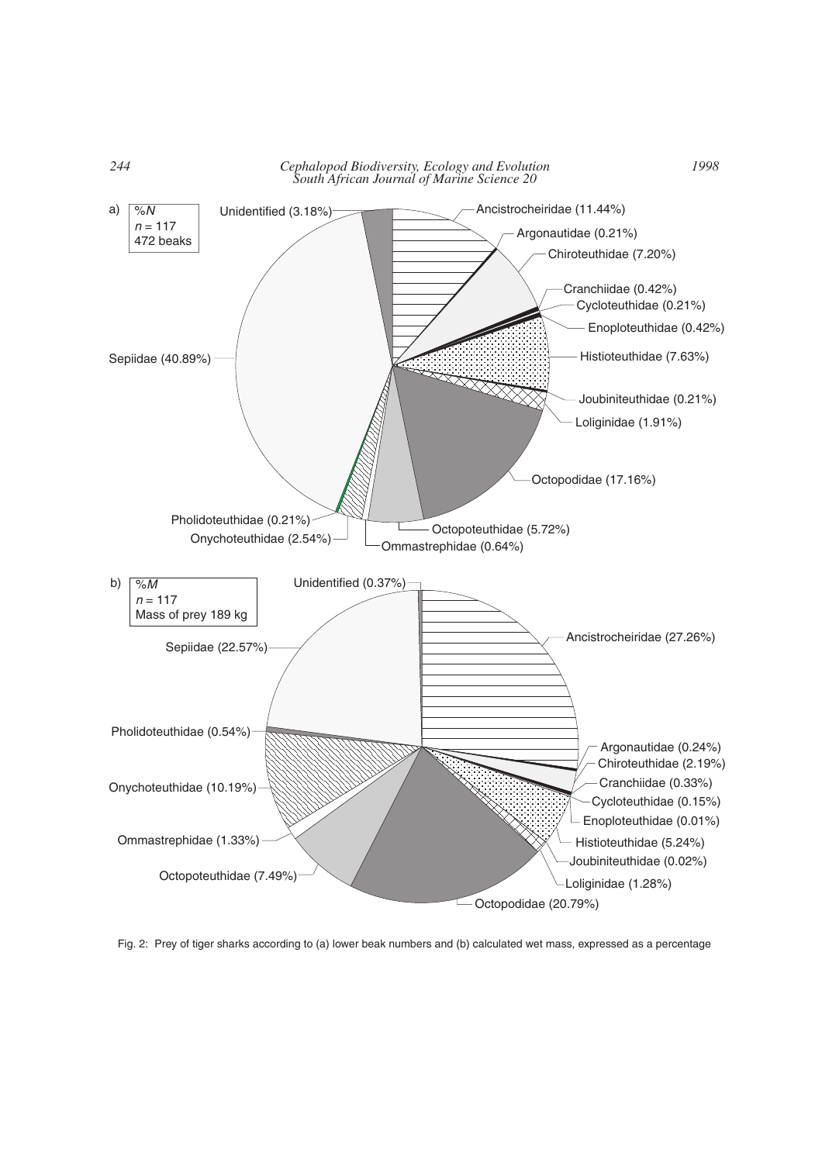

Fig. 2: Prey of tiger sharks according to (a) lower beak numbers and (b) calculated wet mass, expressed as a percentage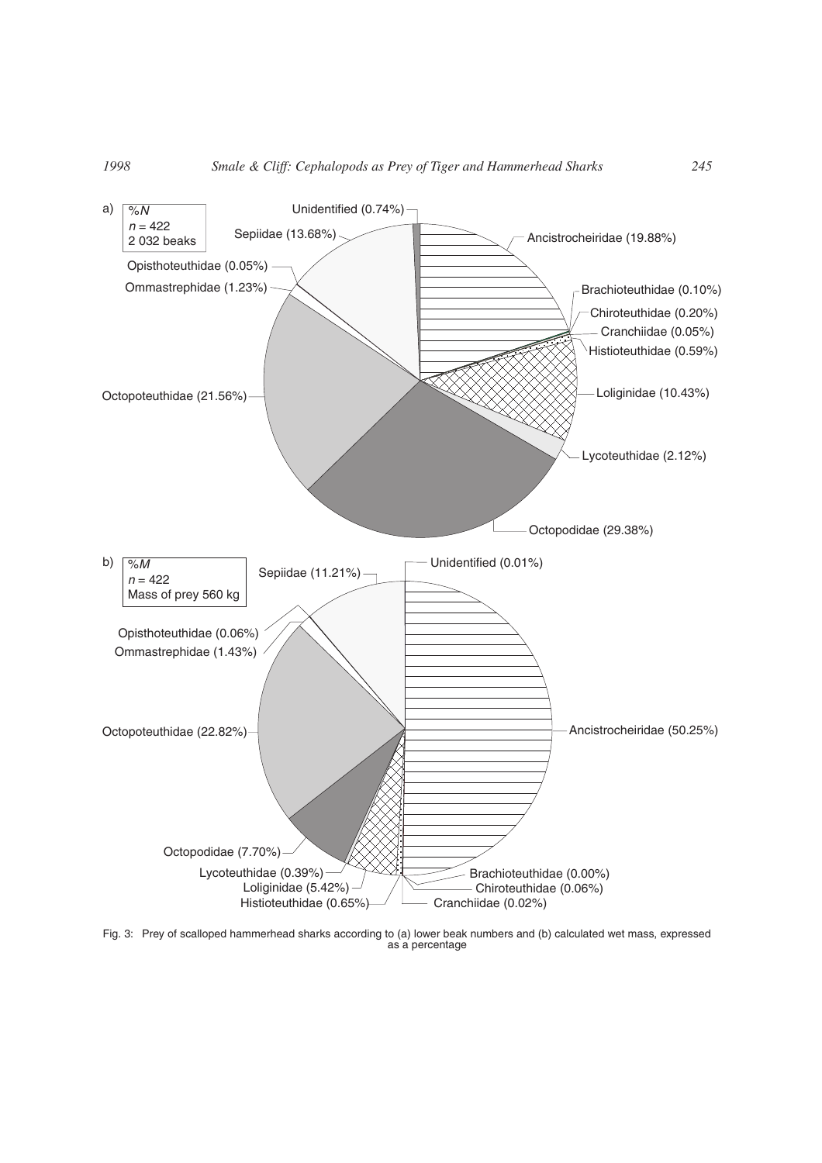

Fig. 3: Prey of scalloped hammerhead sharks according to (a) lower beak numbers and (b) calculated wet mass, expressed as a percentage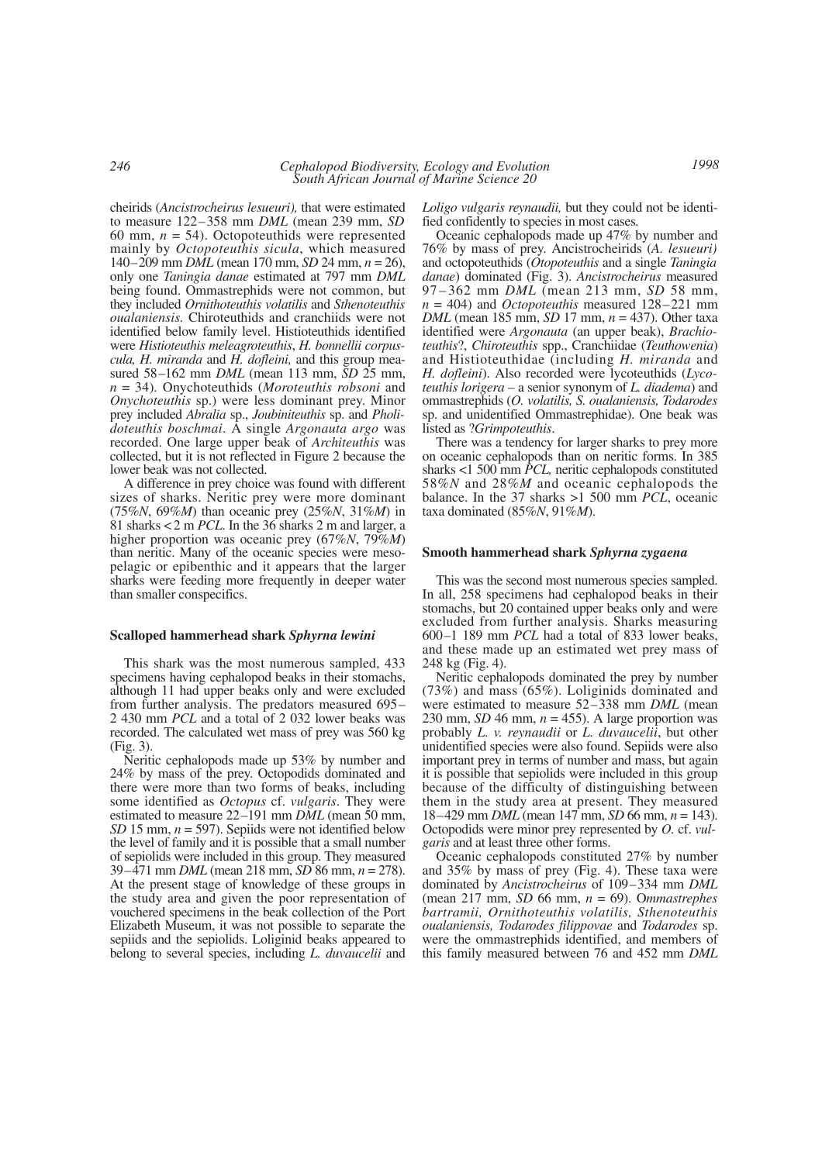cheirids (*Ancistrocheirus lesueuri),* that were estimated to measure 122–358 mm *DML* (mean 239 mm, *SD* 60 mm,  $n = 54$ ). Octopoteuthids were represented mainly by *Octopoteuthis sicula*, which measured 140–209 mm *DML* (mean 170 mm, *SD* 24 mm, *n* = 26), only one *Taningia danae* estimated at 797 mm *DML* being found. Ommastrephids were not common, but they included *Ornithoteuthis volatilis* and *Sthenoteuthis oualaniensis.* Chiroteuthids and cranchiids were not identified below family level. Histioteuthids identified were *Histioteuthis meleagroteuthis*, *H. bonnellii corpuscula, H. miranda* and *H. dofleini,* and this group measured 58–162 mm *DML* (mean 113 mm, *SD* 25 mm, *n* = 34)*.* Onychoteuthids (*Moroteuthis robsoni* and *Onychoteuthis* sp.) were less dominant prey. Minor prey included *Abralia* sp., *Joubiniteuthis* sp. and *Pholidoteuthis boschmai*. A single *Argonauta argo* was recorded. One large upper beak of *Architeuthis* was collected, but it is not reflected in Figure 2 because the lower beak was not collected.

A difference in prey choice was found with different sizes of sharks. Neritic prey were more dominant (75%*N*, 69%*M*) than oceanic prey (25%*N*, 31%*M*) in 81 sharks < 2 m *PCL*. In the 36 sharks 2 m and larger, a higher proportion was oceanic prey (67%*N*, 79%*M*) than neritic. Many of the oceanic species were mesopelagic or epibenthic and it appears that the larger sharks were feeding more frequently in deeper water than smaller conspecifics.

#### **Scalloped hammerhead shark** *Sphyrna lewini*

This shark was the most numerous sampled, 433 specimens having cephalopod beaks in their stomachs, although 11 had upper beaks only and were excluded from further analysis. The predators measured 695– 2 430 mm *PCL* and a total of 2 032 lower beaks was recorded. The calculated wet mass of prey was 560 kg (Fig. 3).

Neritic cephalopods made up 53% by number and 24% by mass of the prey. Octopodids dominated and there were more than two forms of beaks, including some identified as *Octopus* cf. *vulgaris*. They were estimated to measure 22–191 mm *DML* (mean 50 mm, *SD* 15 mm, *n* = 597). Sepiids were not identified below the level of family and it is possible that a small number of sepiolids were included in this group. They measured 39–471 mm *DML* (mean 218 mm, *SD* 86 mm, *n* = 278). At the present stage of knowledge of these groups in the study area and given the poor representation of vouchered specimens in the beak collection of the Port Elizabeth Museum, it was not possible to separate the sepiids and the sepiolids. Loliginid beaks appeared to belong to several species, including *L. duvaucelii* and

*Loligo vulgaris reynaudii,* but they could not be identified confidently to species in most cases*.*

Oceanic cephalopods made up 47% by number and 76% by mass of prey. Ancistrocheirids (*A. lesueuri)* and octopoteuthids (*Otopoteuthis* and a single *Taningia danae*) dominated (Fig. 3). *Ancistrocheirus* measured 97–362 mm *DML* (mean 213 mm, *SD* 58 mm, *n* = 404) and *Octopoteuthis* measured 128–221 mm *DML* (mean 185 mm, *SD* 17 mm, *n* = 437). Other taxa identified were *Argonauta* (an upper beak), *Brachioteuthis*?, *Chiroteuthis* spp., Cranchiidae (*Teuthowenia*) and Histioteuthidae (including *H. miranda* and *H. dofleini*). Also recorded were lycoteuthids (*Lycoteuthis lorigera* – a senior synonym of *L. diadema*) and ommastrephids (*O. volatilis, S. oualaniensis, Todarodes* sp. and unidentified Ommastrephidae). One beak was listed as ?*Grimpoteuthis*.

There was a tendency for larger sharks to prey more on oceanic cephalopods than on neritic forms. In 385 sharks <1 500 mm *PCL,* neritic cephalopods constituted 58%*N* and 28%*M* and oceanic cephalopods the balance. In the 37 sharks >1 500 mm *PCL*, oceanic taxa dominated (85%*N*, 91%*M*).

### **Smooth hammerhead shark** *Sphyrna zygaena*

This was the second most numerous species sampled. In all, 258 specimens had cephalopod beaks in their stomachs, but 20 contained upper beaks only and were excluded from further analysis. Sharks measuring 600–1 189 mm *PCL* had a total of 833 lower beaks, and these made up an estimated wet prey mass of 248 kg (Fig. 4).

Neritic cephalopods dominated the prey by number (73%) and mass (65%). Loliginids dominated and were estimated to measure 52–338 mm *DML* (mean 230 mm, *SD* 46 mm, *n* = 455). A large proportion was probably *L. v. reynaudii* or *L. duvaucelii*, but other unidentified species were also found. Sepiids were also important prey in terms of number and mass, but again it is possible that sepiolids were included in this group because of the difficulty of distinguishing between them in the study area at present. They measured 18–429 mm *DML* (mean 147 mm, *SD* 66 mm, *n* = 143). Octopodids were minor prey represented by *O.* cf. *vulgaris* and at least three other forms.

Oceanic cephalopods constituted 27% by number and 35% by mass of prey (Fig. 4). These taxa were dominated by *Ancistrocheirus* of 109–334 mm *DML* (mean 217 mm, *SD* 66 mm, *n* = 69). O*mmastrephes bartramii, Ornithoteuthis volatilis, Sthenoteuthis oualaniensis, Todarodes filippovae* and *Todarodes* sp. were the ommastrephids identified, and members of this family measured between 76 and 452 mm *DML*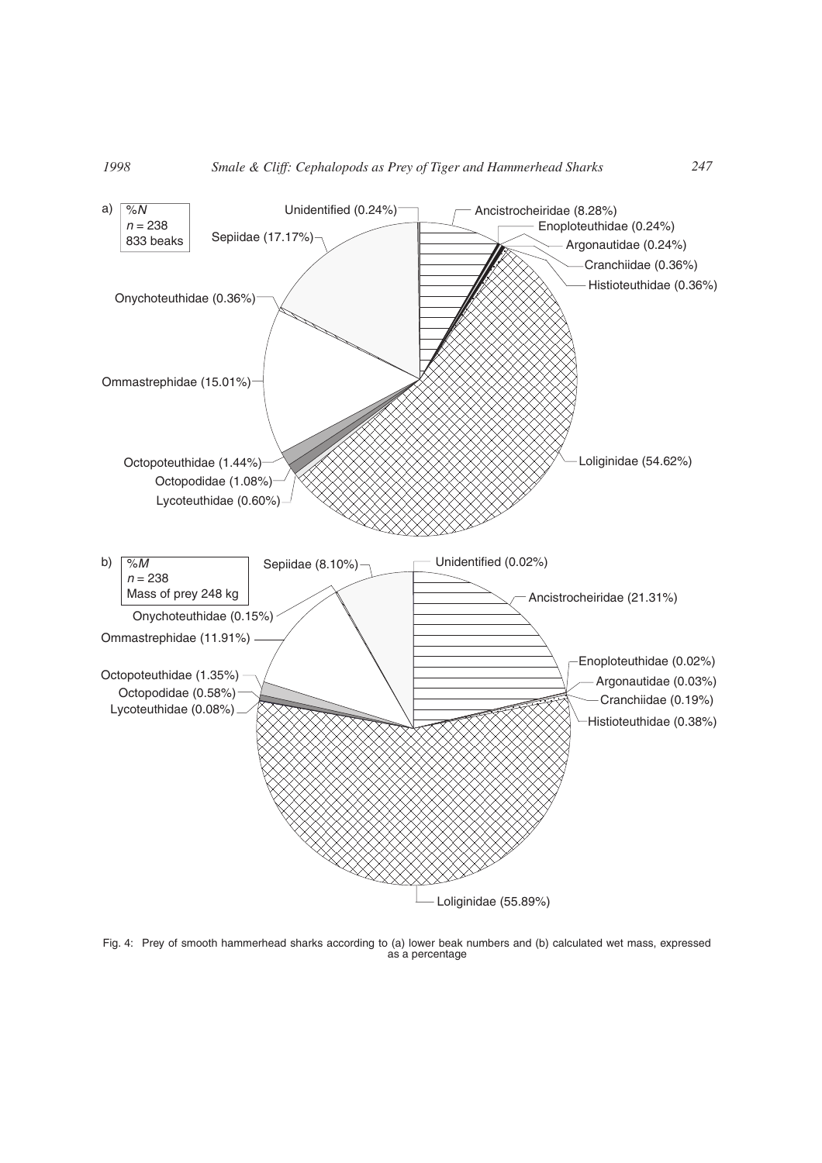

Fig. 4: Prey of smooth hammerhead sharks according to (a) lower beak numbers and (b) calculated wet mass, expressed as a percentage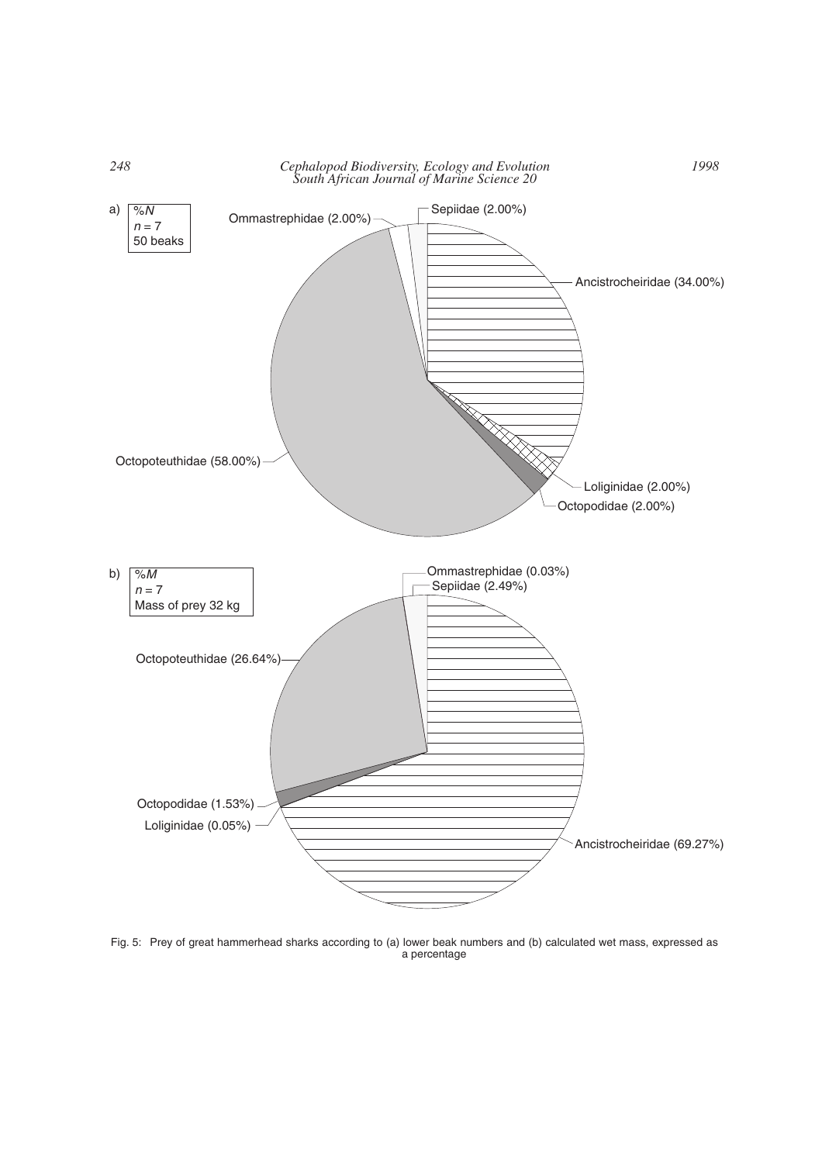

Fig. 5: Prey of great hammerhead sharks according to (a) lower beak numbers and (b) calculated wet mass, expressed as a percentage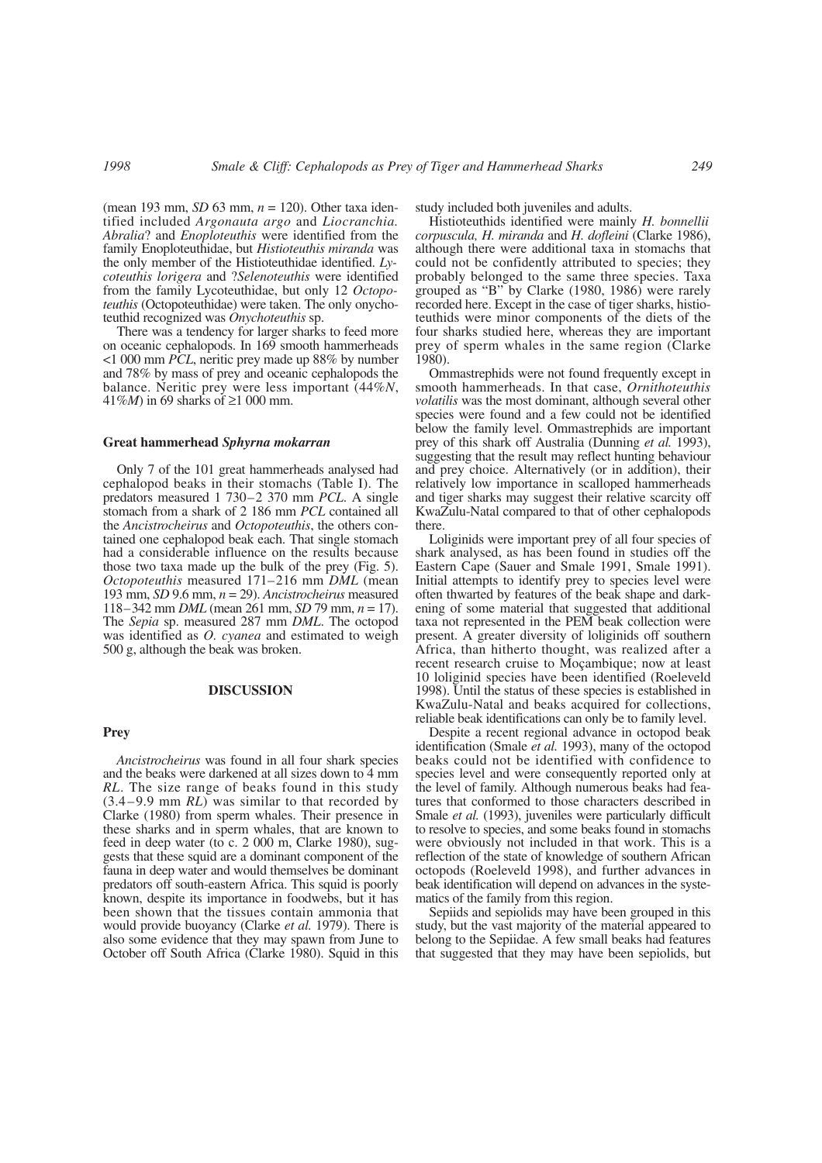(mean 193 mm, *SD* 63 mm, *n* = 120). Other taxa identified included *Argonauta argo* and *Liocranchia. Abralia*? and *Enoploteuthis* were identified from the family Enoploteuthidae, but *Histioteuthis miranda* was the only member of the Histioteuthidae identified. *Lycoteuthis lorigera* and ?*Selenoteuthis* were identified from the family Lycoteuthidae, but only 12 *Octopoteuthis* (Octopoteuthidae) were taken. The only onychoteuthid recognized was *Onychoteuthis* sp.

There was a tendency for larger sharks to feed more on oceanic cephalopods. In 169 smooth hammerheads <1 000 mm *PCL*, neritic prey made up 88% by number and 78% by mass of prey and oceanic cephalopods the balance. Neritic prey were less important (44%*N*, 41%*M*) in 69 sharks of ≥1 000 mm.

#### **Great hammerhead** *Sphyrna mokarran*

Only 7 of the 101 great hammerheads analysed had cephalopod beaks in their stomachs (Table I). The predators measured 1 730–2 370 mm *PCL*. A single stomach from a shark of 2 186 mm *PCL* contained all the *Ancistrocheirus* and *Octopoteuthis*, the others contained one cephalopod beak each. That single stomach had a considerable influence on the results because those two taxa made up the bulk of the prey (Fig. 5). *Octopoteuthis* measured 171–216 mm *DML* (mean 193 mm, *SD* 9.6 mm, *n* = 29). *Ancistrocheirus* measured 118–342 mm *DML* (mean 261 mm, *SD* 79 mm, *n* = 17). The *Sepia* sp. measured 287 mm *DML*. The octopod was identified as *O. cyanea* and estimated to weigh 500 g, although the beak was broken.

# **DISCUSSION**

# **Prey**

*Ancistrocheirus* was found in all four shark species and the beaks were darkened at all sizes down to 4 mm *RL*. The size range of beaks found in this study (3.4–9.9 mm *RL*) was similar to that recorded by Clarke (1980) from sperm whales. Their presence in these sharks and in sperm whales, that are known to feed in deep water (to c. 2 000 m, Clarke 1980), suggests that these squid are a dominant component of the fauna in deep water and would themselves be dominant predators off south-eastern Africa. This squid is poorly known, despite its importance in foodwebs, but it has been shown that the tissues contain ammonia that would provide buoyancy (Clarke *et al.* 1979). There is also some evidence that they may spawn from June to October off South Africa (Clarke 1980). Squid in this

study included both juveniles and adults.

Histioteuthids identified were mainly *H. bonnellii corpuscula, H. miranda* and *H. dofleini* (Clarke 1986), although there were additional taxa in stomachs that could not be confidently attributed to species; they probably belonged to the same three species. Taxa grouped as "B" by Clarke (1980, 1986) were rarely recorded here. Except in the case of tiger sharks, histioteuthids were minor components of the diets of the four sharks studied here, whereas they are important prey of sperm whales in the same region (Clarke 1980).

Ommastrephids were not found frequently except in smooth hammerheads. In that case, *Ornithoteuthis volatilis* was the most dominant, although several other species were found and a few could not be identified below the family level. Ommastrephids are important prey of this shark off Australia (Dunning *et al.* 1993), suggesting that the result may reflect hunting behaviour and prey choice. Alternatively (or in addition), their relatively low importance in scalloped hammerheads and tiger sharks may suggest their relative scarcity off KwaZulu-Natal compared to that of other cephalopods there.

Loliginids were important prey of all four species of shark analysed, as has been found in studies off the Eastern Cape (Sauer and Smale 1991, Smale 1991). Initial attempts to identify prey to species level were often thwarted by features of the beak shape and darkening of some material that suggested that additional taxa not represented in the PEM beak collection were present. A greater diversity of loliginids off southern Africa, than hitherto thought, was realized after a recent research cruise to Moçambique; now at least 10 loliginid species have been identified (Roeleveld 1998). Until the status of these species is established in KwaZulu-Natal and beaks acquired for collections, reliable beak identifications can only be to family level.

Despite a recent regional advance in octopod beak identification (Smale *et al.* 1993), many of the octopod beaks could not be identified with confidence to species level and were consequently reported only at the level of family. Although numerous beaks had features that conformed to those characters described in Smale *et al.* (1993), juveniles were particularly difficult to resolve to species, and some beaks found in stomachs were obviously not included in that work. This is a reflection of the state of knowledge of southern African octopods (Roeleveld 1998), and further advances in beak identification will depend on advances in the systematics of the family from this region.

Sepiids and sepiolids may have been grouped in this study, but the vast majority of the material appeared to belong to the Sepiidae. A few small beaks had features that suggested that they may have been sepiolids, but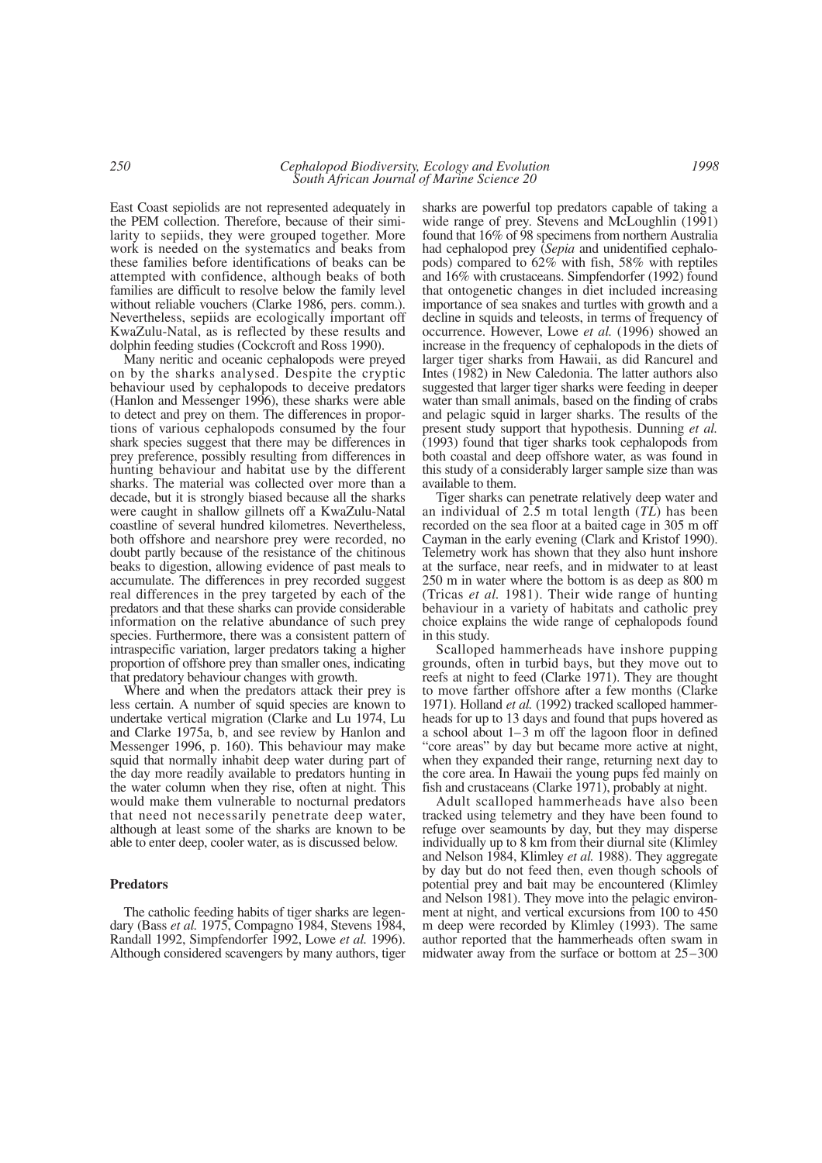East Coast sepiolids are not represented adequately in the PEM collection. Therefore, because of their similarity to sepiids, they were grouped together. More work is needed on the systematics and beaks from these families before identifications of beaks can be attempted with confidence, although beaks of both families are difficult to resolve below the family level without reliable vouchers (Clarke 1986, pers. comm.). Nevertheless, sepiids are ecologically important off KwaZulu-Natal, as is reflected by these results and dolphin feeding studies (Cockcroft and Ross 1990).

Many neritic and oceanic cephalopods were preyed on by the sharks analysed. Despite the cryptic behaviour used by cephalopods to deceive predators (Hanlon and Messenger 1996), these sharks were able to detect and prey on them. The differences in proportions of various cephalopods consumed by the four shark species suggest that there may be differences in prey preference, possibly resulting from differences in hunting behaviour and habitat use by the different sharks. The material was collected over more than a decade, but it is strongly biased because all the sharks were caught in shallow gillnets off a KwaZulu-Natal coastline of several hundred kilometres. Nevertheless, both offshore and nearshore prey were recorded, no doubt partly because of the resistance of the chitinous beaks to digestion, allowing evidence of past meals to accumulate. The differences in prey recorded suggest real differences in the prey targeted by each of the predators and that these sharks can provide considerable information on the relative abundance of such prey species. Furthermore, there was a consistent pattern of intraspecific variation, larger predators taking a higher proportion of offshore prey than smaller ones, indicating that predatory behaviour changes with growth.

Where and when the predators attack their prey is less certain. A number of squid species are known to undertake vertical migration (Clarke and Lu 1974, Lu and Clarke 1975a, b, and see review by Hanlon and Messenger 1996, p. 160). This behaviour may make squid that normally inhabit deep water during part of the day more readily available to predators hunting in the water column when they rise, often at night. This would make them vulnerable to nocturnal predators that need not necessarily penetrate deep water, although at least some of the sharks are known to be able to enter deep, cooler water, as is discussed below.

# **Predators**

The catholic feeding habits of tiger sharks are legendary (Bass *et al.* 1975, Compagno 1984, Stevens 1984, Randall 1992, Simpfendorfer 1992, Lowe *et al.* 1996). Although considered scavengers by many authors, tiger

sharks are powerful top predators capable of taking a wide range of prey. Stevens and McLoughlin (1991) found that 16% of 98 specimens from northern Australia had cephalopod prey (*Sepia* and unidentified cephalopods) compared to 62% with fish, 58% with reptiles and 16% with crustaceans. Simpfendorfer (1992) found that ontogenetic changes in diet included increasing importance of sea snakes and turtles with growth and a decline in squids and teleosts, in terms of frequency of occurrence. However, Lowe *et al.* (1996) showed an increase in the frequency of cephalopods in the diets of larger tiger sharks from Hawaii, as did Rancurel and Intes (1982) in New Caledonia. The latter authors also suggested that larger tiger sharks were feeding in deeper water than small animals, based on the finding of crabs and pelagic squid in larger sharks. The results of the present study support that hypothesis. Dunning *et al.* (1993) found that tiger sharks took cephalopods from both coastal and deep offshore water, as was found in this study of a considerably larger sample size than was available to them.

Tiger sharks can penetrate relatively deep water and an individual of 2.5 m total length (*TL*) has been recorded on the sea floor at a baited cage in 305 m off Cayman in the early evening (Clark and Kristof 1990). Telemetry work has shown that they also hunt inshore at the surface, near reefs, and in midwater to at least 250 m in water where the bottom is as deep as 800 m (Tricas *et al.* 1981). Their wide range of hunting behaviour in a variety of habitats and catholic prey choice explains the wide range of cephalopods found in this study.

Scalloped hammerheads have inshore pupping grounds, often in turbid bays, but they move out to reefs at night to feed (Clarke 1971). They are thought to move farther offshore after a few months (Clarke 1971). Holland *et al.* (1992) tracked scalloped hammerheads for up to 13 days and found that pups hovered as a school about 1–3 m off the lagoon floor in defined "core areas" by day but became more active at night, when they expanded their range, returning next day to the core area. In Hawaii the young pups fed mainly on fish and crustaceans (Clarke 1971), probably at night.

Adult scalloped hammerheads have also been tracked using telemetry and they have been found to refuge over seamounts by day, but they may disperse individually up to 8 km from their diurnal site (Klimley and Nelson 1984, Klimley *et al.* 1988). They aggregate by day but do not feed then, even though schools of potential prey and bait may be encountered (Klimley and Nelson 1981). They move into the pelagic environment at night, and vertical excursions from 100 to 450 m deep were recorded by Klimley (1993). The same author reported that the hammerheads often swam in midwater away from the surface or bottom at 25–300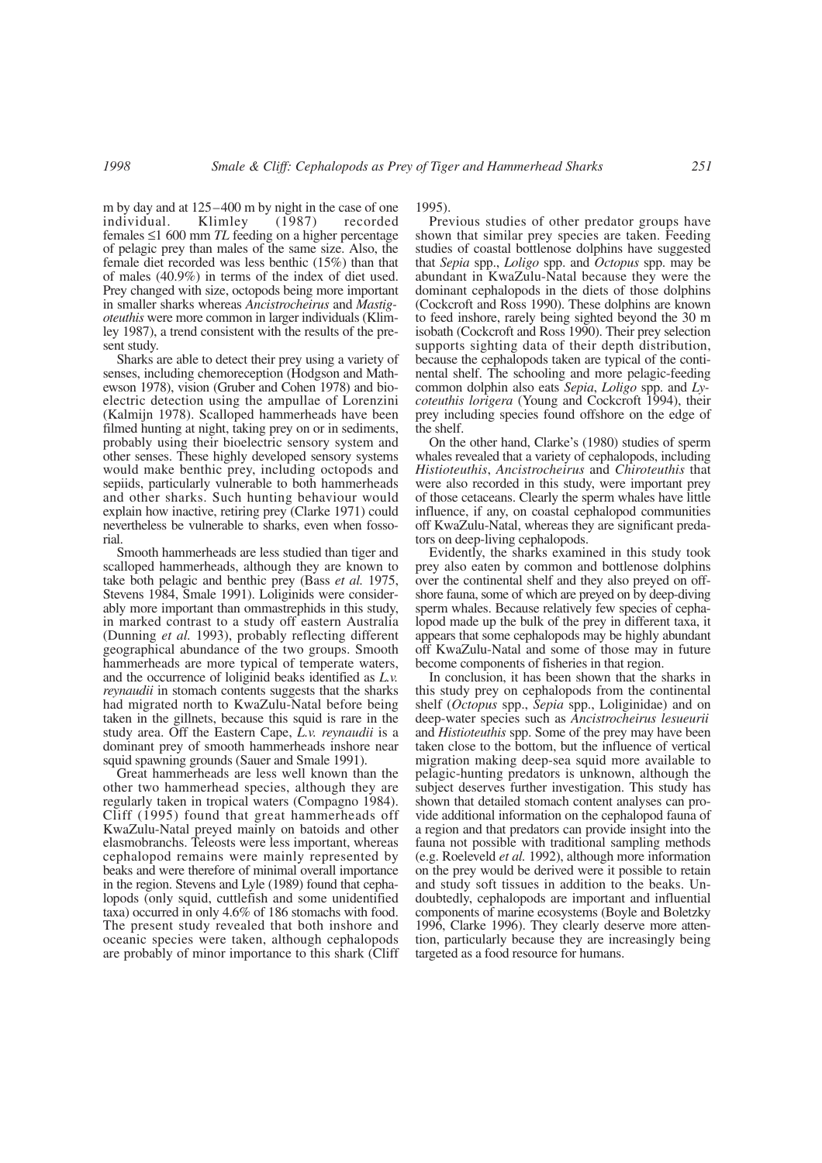m by day and at 125–400 m by night in the case of one individual. Klimley (1987) recorded females ≤1 600 mm *TL* feeding on a higher percentage of pelagic prey than males of the same size. Also, the female diet recorded was less benthic (15%) than that of males (40.9%) in terms of the index of diet used. Prey changed with size, octopods being more important in smaller sharks whereas *Ancistrocheirus* and *Mastigoteuthis* were more common in larger individuals (Klimley 1987), a trend consistent with the results of the present study.

Sharks are able to detect their prey using a variety of senses, including chemoreception (Hodgson and Mathewson 1978), vision (Gruber and Cohen 1978) and bioelectric detection using the ampullae of Lorenzini (Kalmijn 1978). Scalloped hammerheads have been filmed hunting at night, taking prey on or in sediments, probably using their bioelectric sensory system and other senses. These highly developed sensory systems would make benthic prey, including octopods and sepiids, particularly vulnerable to both hammerheads and other sharks. Such hunting behaviour would explain how inactive, retiring prey (Clarke 1971) could nevertheless be vulnerable to sharks, even when fossorial.

Smooth hammerheads are less studied than tiger and scalloped hammerheads, although they are known to take both pelagic and benthic prey (Bass *et al.* 1975, Stevens 1984, Smale 1991). Loliginids were considerably more important than ommastrephids in this study, in marked contrast to a study off eastern Australia (Dunning *et al.* 1993), probably reflecting different geographical abundance of the two groups. Smooth hammerheads are more typical of temperate waters, and the occurrence of loliginid beaks identified as *L.v. reynaudii* in stomach contents suggests that the sharks had migrated north to KwaZulu-Natal before being taken in the gillnets, because this squid is rare in the study area. Off the Eastern Cape, *L.v. reynaudii* is a dominant prey of smooth hammerheads inshore near squid spawning grounds (Sauer and Smale 1991).

Great hammerheads are less well known than the other two hammerhead species, although they are regularly taken in tropical waters (Compagno 1984). Cliff (1995) found that great hammerheads off KwaZulu-Natal preyed mainly on batoids and other elasmobranchs. Teleosts were less important, whereas cephalopod remains were mainly represented by beaks and were therefore of minimal overall importance in the region. Stevens and Lyle (1989) found that cephalopods (only squid, cuttlefish and some unidentified taxa) occurred in only 4.6% of 186 stomachs with food. The present study revealed that both inshore and oceanic species were taken, although cephalopods are probably of minor importance to this shark (Cliff 1995).

Previous studies of other predator groups have shown that similar prey species are taken. Feeding studies of coastal bottlenose dolphins have suggested that *Sepia* spp., *Loligo* spp. and *Octopus* spp. may be abundant in KwaZulu-Natal because they were the dominant cephalopods in the diets of those dolphins (Cockcroft and Ross 1990). These dolphins are known to feed inshore, rarely being sighted beyond the 30 m isobath (Cockcroft and Ross 1990). Their prey selection supports sighting data of their depth distribution, because the cephalopods taken are typical of the continental shelf. The schooling and more pelagic-feeding common dolphin also eats *Sepia*, *Loligo* spp. and *Lycoteuthis lorigera* (Young and Cockcroft 1994), their prey including species found offshore on the edge of the shelf.

On the other hand, Clarke's (1980) studies of sperm whales revealed that a variety of cephalopods, including *Histioteuthis*, *Ancistrocheirus* and *Chiroteuthis* that were also recorded in this study, were important prey of those cetaceans. Clearly the sperm whales have little influence, if any, on coastal cephalopod communities off KwaZulu-Natal, whereas they are significant predators on deep-living cephalopods.

Evidently, the sharks examined in this study took prey also eaten by common and bottlenose dolphins over the continental shelf and they also preyed on offshore fauna, some of which are preyed on by deep-diving sperm whales. Because relatively few species of cephalopod made up the bulk of the prey in different taxa, it appears that some cephalopods may be highly abundant off KwaZulu-Natal and some of those may in future become components of fisheries in that region.

In conclusion, it has been shown that the sharks in this study prey on cephalopods from the continental shelf (*Octopus* spp., *Sepia* spp., Loliginidae) and on deep-water species such as *Ancistrocheirus lesueurii* and *Histioteuthis* spp. Some of the prey may have been taken close to the bottom, but the influence of vertical migration making deep-sea squid more available to pelagic-hunting predators is unknown, although the subject deserves further investigation. This study has shown that detailed stomach content analyses can provide additional information on the cephalopod fauna of a region and that predators can provide insight into the fauna not possible with traditional sampling methods (e.g. Roeleveld *et al.* 1992), although more information on the prey would be derived were it possible to retain and study soft tissues in addition to the beaks. Undoubtedly, cephalopods are important and influential components of marine ecosystems (Boyle and Boletzky 1996, Clarke 1996). They clearly deserve more attention, particularly because they are increasingly being targeted as a food resource for humans.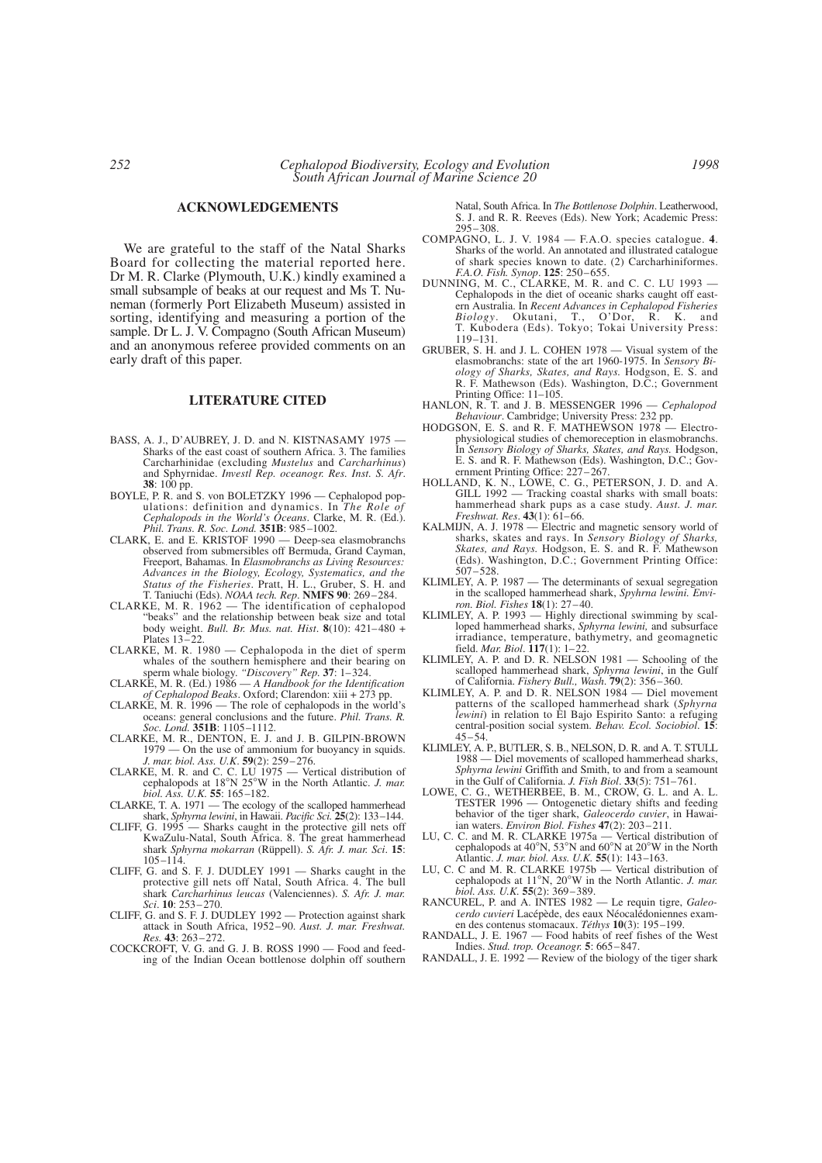# **ACKNOWLEDGEMENTS**

We are grateful to the staff of the Natal Sharks Board for collecting the material reported here. Dr M. R. Clarke (Plymouth, U.K.) kindly examined a small subsample of beaks at our request and Ms T. Nuneman (formerly Port Elizabeth Museum) assisted in sorting, identifying and measuring a portion of the sample. Dr L. J. V. Compagno (South African Museum) and an anonymous referee provided comments on an early draft of this paper.

# **LITERATURE CITED**

- BASS, A. J., D'AUBREY, J. D. and N. KISTNASAMY 1975 -Sharks of the east coast of southern Africa. 3. The families Carcharhinidae (excluding *Mustelus* and *Carcharhinus*) and Sphyrnidae. *Investl Rep. oceanogr. Res. Inst. S. Afr*. **38**: 100 pp.
- BOYLE, P. R. and S. von BOLETZKY 1996 Cephalopod pop-ulations: definition and dynamics. In *The Role of Cephalopods in the World's Oceans*. Clarke, M. R. (Ed.). *Phil. Trans. R. Soc. Lond.* **351B**: 985–1002.
- CLARK, E. and E. KRISTOF 1990 Deep-sea elasmobranchs observed from submersibles off Bermuda, Grand Cayman, Freeport, Bahamas. In *Elasmobranchs as Living Resources: Advances in the Biology, Ecology, Systematics, and the Status of the Fisheries*. Pratt, H. L., Gruber, S. H. and T. Taniuchi (Eds). *NOAA tech. Rep*. **NMFS 90**: 269–284.
- CLARKE, M. R. 1962 The identification of cephalopod "beaks" and the relationship between beak size and total body weight. *Bull. Br. Mus. nat. Hist*. **8**(10): 421–480 + Plates 13–22.
- CLARKE, M. R. 1980 Cephalopoda in the diet of sperm whales of the southern hemisphere and their bearing on sperm whale biology. *"Discovery" Rep.* **37**: 1–324.
- CLARKE, M. R. (Ed.) 1986 *A Handbook for the Identification of Cephalopod Beaks*. Oxford; Clarendon: xiii + 273 pp.
- CLARKE, M. R. 1996 The role of cephalopods in the world's oceans: general conclusions and the future. *Phil. Trans. R. Soc. Lond.* **351B**: 1105–1112.
- CLARKE, M. R., DENTON, E. J. and J. B. GILPIN-BROWN 1979 — On the use of ammonium for buoyancy in squids. *J. mar. biol. Ass. U.K*. **59**(2): 259–276.
- CLARKE, M. R. and C. C. LU 1975 Vertical distribution of cephalopods at 18°N 25°W in the North Atlantic. *J. mar. biol. Ass. U.K.* **55**: 165–182.
- CLARKE, T. A. 1971 The ecology of the scalloped hammerhead shark, *Sphyrna lewini*, in Hawaii. *Pacific Sci.* **25**(2): 133–144.
- CLIFF, G. 1995 Sharks caught in the protective gill nets off KwaZulu-Natal, South Africa. 8. The great hammerhead shark *Sphyrna mokarran* (Rüppell). *S. Afr. J. mar. Sci*. **15**: 105–114.
- CLIFF, G. and S. F. J. DUDLEY 1991 Sharks caught in the protective gill nets off Natal, South Africa. 4. The bull shark *Carcharhinus leucas* (Valenciennes). *S. Afr. J. mar. Sci*. **10**: 253–270.
- CLIFF, G. and S. F. J. DUDLEY 1992 Protection against shark attack in South Africa, 1952–90. *Aust. J. mar. Freshwat. Res.* **43**: 263–272.
- COCKCROFT, V. G. and G. J. B. ROSS 1990 Food and feeding of the Indian Ocean bottlenose dolphin off southern

Natal, South Africa. In *The Bottlenose Dolphin*. Leatherwood, S. J. and R. R. Reeves (Eds). New York; Academic Press: 295–308.

- COMPAGNO, L. J. V. 1984 F.A.O. species catalogue. **4**. Sharks of the world. An annotated and illustrated catalogue of shark species known to date. (2) Carcharhiniformes. *F.A.O. Fish. Synop*. **125**: 250–655.
- DUNNING, M. C., CLARKE, M. R. and C. C. LU 1993 Cephalopods in the diet of oceanic sharks caught off eastern Australia. In *Recent Advances in Cephalopod Fisheries Biology*. Okutani, T., O'Dor, R. K. and T. Kubodera (Eds). Tokyo; Tokai University Press: 119–131.
- GRUBER, S. H. and J. L. COHEN 1978 Visual system of the elasmobranchs: state of the art 1960-1975. In *Sensory Biology of Sharks, Skates, and Rays.* Hodgson, E. S. and R. F. Mathewson (Eds). Washington, D.C.; Government Printing Office:  $11-105$ .
- HANLON, R. T. and J. B. MESSENGER 1996 *Cephalopod Behaviour*. Cambridge; University Press: 232 pp.
- HODGSON, E. S. and R. F. MATHEWSON 1978 Electrophysiological studies of chemoreception in elasmobranchs. In *Sensory Biology of Sharks, Skates, and Rays.* Hodgson, E. S. and R. F. Mathewson (Eds). Washington, D.C.; Government Printing Office: 227–267.
- HOLLAND, K. N., LOWE, C. G., PETERSON, J. D. and A. GILL 1992 — Tracking coastal sharks with small boats: hammerhead shark pups as a case study. *Aust. J. mar. Freshwat. Res*. **43**(1): 61–66.
- KALMIJN, A. J. 1978 Electric and magnetic sensory world of sharks, skates and rays. In *Sensory Biology of Sharks, Skates, and Rays.* Hodgson, E. S. and R. F. Mathewson (Eds). Washington, D.C.; Government Printing Office: 507–528.
- KLIMLEY, A. P. 1987 The determinants of sexual segregation in the scalloped hammerhead shark, *Spyhrna lewini. Environ. Biol. Fishes* **18**(1): 27–40.
- KLIMLEY, A. P. 1993 Highly directional swimming by scal-loped hammerhead sharks, *Sphyrna lewini,* and subsurface irradiance, temperature, bathymetry, and geomagnetic field. *Mar. Biol*. **117**(1): 1–22.
- KLIMLEY, A. P. and D. R. NELSON 1981 Schooling of the scalloped hammerhead shark, *Sphyrna lewini*, in the Gulf of California. *Fishery Bull., Wash*. **79**(2): 356–360.
- KLIMLEY, A. P. and D. R. NELSON 1984 Diel movement patterns of the scalloped hammerhead shark (*Sphyrna lewini*) in relation to El Bajo Espirito Santo: a refuging central-position social system. *Behav. Ecol. Sociobiol*. **15**:  $45 - 54.$
- KLIMLEY, A. P., BUTLER, S. B., NELSON, D. R. and A. T. STULL 1988 — Diel movements of scalloped hammerhead sharks, *Sphyrna lewini* Griffith and Smith, to and from a seamount in the Gulf of California. *J. Fish Biol*. **33**(5): 751–761.
- LOWE, C. G., WETHERBEE, B. M., CROW, G. L. and A. L. TESTER 1996 — Ontogenetic dietary shifts and feeding behavior of the tiger shark, *Galeocerdo cuvier*, in Hawaiian waters. *Environ Biol. Fishes* **47**(2): 203–211.
- LU, C. C. and M. R. CLARKE 1975a Vertical distribution of cephalopods at 40°N, 53°N and 60°N at 20°W in the North Atlantic. *J. mar. biol. Ass. U.K.* **55**(1): 143–163.
- LU, C. C and M. R. CLARKE 1975b Vertical distribution of cephalopods at 11°N, 20°W in the North Atlantic. *J. mar. biol. Ass. U.K.* **55**(2): 369–389.
- RANCUREL, P. and A. INTES 1982 Le requin tigre, *Galeocerdo cuvieri* Lacépède, des eaux Néocalédoniennes examen des contenus stomacaux. *Téthys* **10**(3): 195–199.
- RANDALL, J. E. 1967 Food habits of reef fishes of the West Indies. *Stud. trop. Oceanogr.* **5**: 665–847.
- RANDALL, J. E.  $1992 -$ Review of the biology of the tiger shark